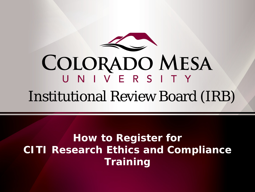

# COLORADO MESA Institutional Review Board (IRB)

#### **How to Register for CITI Research Ethics and Compliance Training**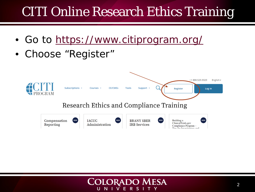- Go to <https://www.citiprogram.org/>
- Choose "Register"



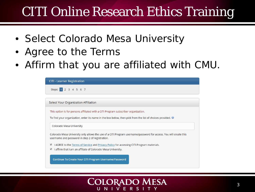- Select Colorado Mesa University
- Agree to the Terms
- Affirm that you are affiliated with CMU.



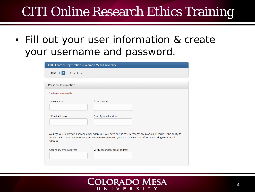• Fill out your user information & create your username and password.

| CITI - Learner Registration - Colorado Mesa University                                                                                                                                                                                                    |                                |
|-----------------------------------------------------------------------------------------------------------------------------------------------------------------------------------------------------------------------------------------------------------|--------------------------------|
| Steps: 1 2 3 4 5 6 7                                                                                                                                                                                                                                      |                                |
|                                                                                                                                                                                                                                                           |                                |
| <b>Personal Information</b>                                                                                                                                                                                                                               |                                |
| * indicates a required field.                                                                                                                                                                                                                             |                                |
| * First Name                                                                                                                                                                                                                                              | * Last Name                    |
| * Email Address                                                                                                                                                                                                                                           | * Verify email address         |
| We urge you to provide a second email address, if you have one, in case messages are blocked or you lose the ability to<br>access the first one. If you forget your username or password, you can recover that information using either email<br>address. |                                |
| Secondary email address                                                                                                                                                                                                                                   | Verify secondary email address |

#### **COLORADO MESA** UNIVERS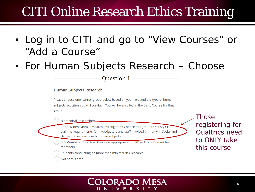- Log in to CITI and go to "View Courses" or "Add a Course"
- For Human Subjects Research Choose

Question 1

**Human Subjects Research** 

Please choose one learner group below based on your role and the type of human subjects activities you will conduct. You will be enrolled in the Basic Course for that group.

**Biomedical Researchers** 

Social & Behavioral Research Investigators: Choose this group to satisfy CITI training requirements for Investigators and staff involved primarily in Social and Behavioral research with human subjects.

IRB Members: This Basic Course is appropriate for IRB or Ethics Committee members.

Students conducting no more than minimal risk research

Not at this time.

#### **COLORADO MESA** NIVER

Those registering for Qualtrics need to ONLY take this course